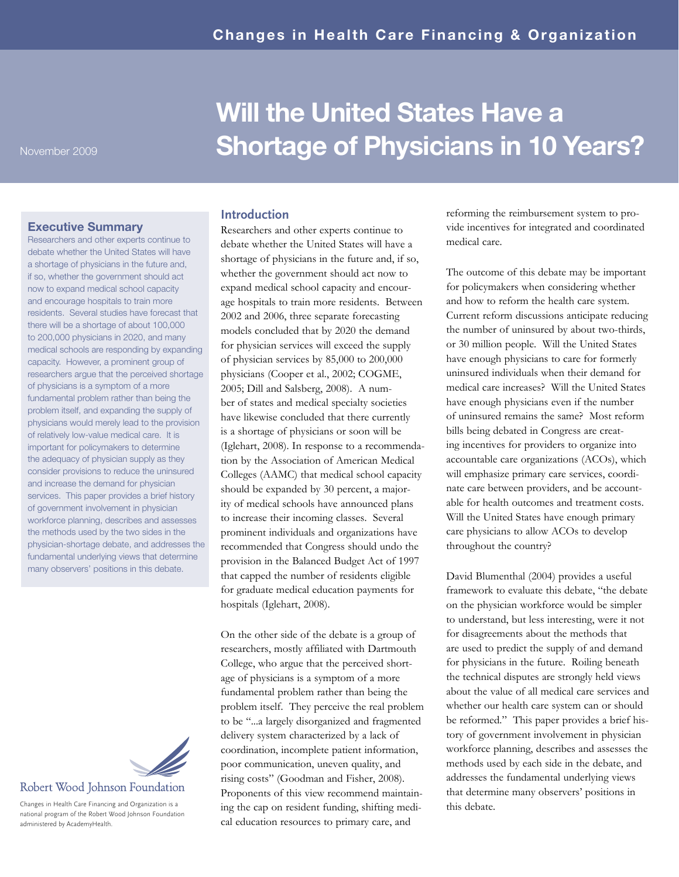#### Executive Summary

Researchers and other experts continue to debate whether the United States will have a shortage of physicians in the future and, if so, whether the government should act now to expand medical school capacity and encourage hospitals to train more residents. Several studies have forecast that there will be a shortage of about 100,000 to 200,000 physicians in 2020, and many medical schools are responding by expanding capacity. However, a prominent group of researchers argue that the perceived shortage of physicians is a symptom of a more fundamental problem rather than being the problem itself, and expanding the supply of physicians would merely lead to the provision of relatively low-value medical care. It is important for policymakers to determine the adequacy of physician supply as they consider provisions to reduce the uninsured and increase the demand for physician services. This paper provides a brief history of government involvement in physician workforce planning, describes and assesses the methods used by the two sides in the physician-shortage debate, and addresses the fundamental underlying views that determine many observers' positions in this debate.



# Robert Wood Johnson Foundation

Changes in Health Care Financing and Organization is a national program of the Robert Wood Johnson Foundation administered by AcademyHealth.

# Will the United States Have a Shortage of Physicians in 10 Years?

#### **Introduction**

Researchers and other experts continue to debate whether the United States will have a shortage of physicians in the future and, if so, whether the government should act now to expand medical school capacity and encourage hospitals to train more residents. Between 2002 and 2006, three separate forecasting models concluded that by 2020 the demand for physician services will exceed the supply of physician services by 85,000 to 200,000 physicians (Cooper et al., 2002; COGME, 2005; Dill and Salsberg, 2008). A number of states and medical specialty societies have likewise concluded that there currently is a shortage of physicians or soon will be (Iglehart, 2008). In response to a recommendation by the Association of American Medical Colleges (AAMC) that medical school capacity should be expanded by 30 percent, a majority of medical schools have announced plans to increase their incoming classes. Several prominent individuals and organizations have recommended that Congress should undo the provision in the Balanced Budget Act of 1997 that capped the number of residents eligible for graduate medical education payments for hospitals (Iglehart, 2008).

On the other side of the debate is a group of researchers, mostly affiliated with Dartmouth College, who argue that the perceived shortage of physicians is a symptom of a more fundamental problem rather than being the problem itself. They perceive the real problem to be "...a largely disorganized and fragmented delivery system characterized by a lack of coordination, incomplete patient information, poor communication, uneven quality, and rising costs" (Goodman and Fisher, 2008). Proponents of this view recommend maintaining the cap on resident funding, shifting medical education resources to primary care, and

reforming the reimbursement system to provide incentives for integrated and coordinated medical care.

The outcome of this debate may be important for policymakers when considering whether and how to reform the health care system. Current reform discussions anticipate reducing the number of uninsured by about two-thirds, or 30 million people. Will the United States have enough physicians to care for formerly uninsured individuals when their demand for medical care increases? Will the United States have enough physicians even if the number of uninsured remains the same? Most reform bills being debated in Congress are creating incentives for providers to organize into accountable care organizations (ACOs), which will emphasize primary care services, coordinate care between providers, and be accountable for health outcomes and treatment costs. Will the United States have enough primary care physicians to allow ACOs to develop throughout the country?

David Blumenthal (2004) provides a useful framework to evaluate this debate, "the debate on the physician workforce would be simpler to understand, but less interesting, were it not for disagreements about the methods that are used to predict the supply of and demand for physicians in the future. Roiling beneath the technical disputes are strongly held views about the value of all medical care services and whether our health care system can or should be reformed." This paper provides a brief history of government involvement in physician workforce planning, describes and assesses the methods used by each side in the debate, and addresses the fundamental underlying views that determine many observers' positions in this debate.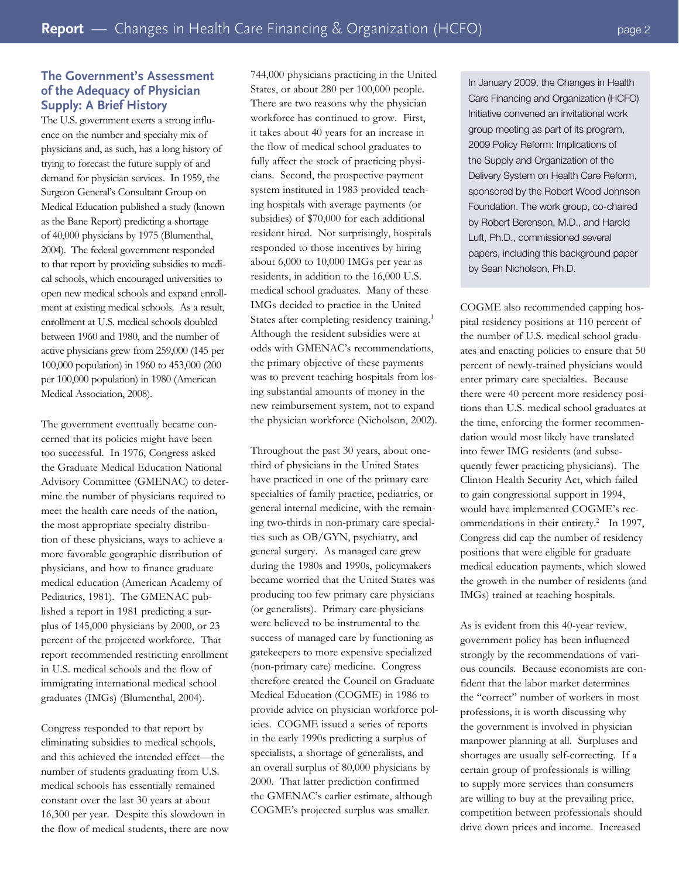## **The Government's Assessment of the Adequacy of Physician Supply: A Brief History**

The U.S. government exerts a strong influence on the number and specialty mix of physicians and, as such, has a long history of trying to forecast the future supply of and demand for physician services. In 1959, the Surgeon General's Consultant Group on Medical Education published a study (known as the Bane Report) predicting a shortage of 40,000 physicians by 1975 (Blumenthal, 2004). The federal government responded to that report by providing subsidies to medical schools, which encouraged universities to open new medical schools and expand enrollment at existing medical schools. As a result, enrollment at U.S. medical schools doubled between 1960 and 1980, and the number of active physicians grew from 259,000 (145 per 100,000 population) in 1960 to 453,000 (200 per 100,000 population) in 1980 (American Medical Association, 2008).

The government eventually became concerned that its policies might have been too successful. In 1976, Congress asked the Graduate Medical Education National Advisory Committee (GMENAC) to determine the number of physicians required to meet the health care needs of the nation, the most appropriate specialty distribution of these physicians, ways to achieve a more favorable geographic distribution of physicians, and how to finance graduate medical education (American Academy of Pediatrics, 1981). The GMENAC published a report in 1981 predicting a surplus of 145,000 physicians by 2000, or 23 percent of the projected workforce. That report recommended restricting enrollment in U.S. medical schools and the flow of immigrating international medical school graduates (IMGs) (Blumenthal, 2004).

Congress responded to that report by eliminating subsidies to medical schools, and this achieved the intended effect—the number of students graduating from U.S. medical schools has essentially remained constant over the last 30 years at about 16,300 per year. Despite this slowdown in the flow of medical students, there are now 744,000 physicians practicing in the United States, or about 280 per 100,000 people. There are two reasons why the physician workforce has continued to grow. First, it takes about 40 years for an increase in the flow of medical school graduates to fully affect the stock of practicing physicians. Second, the prospective payment system instituted in 1983 provided teaching hospitals with average payments (or subsidies) of \$70,000 for each additional resident hired. Not surprisingly, hospitals responded to those incentives by hiring about 6,000 to 10,000 IMGs per year as residents, in addition to the 16,000 U.S. medical school graduates. Many of these IMGs decided to practice in the United States after completing residency training.<sup>1</sup> Although the resident subsidies were at odds with GMENAC's recommendations, the primary objective of these payments was to prevent teaching hospitals from losing substantial amounts of money in the new reimbursement system, not to expand the physician workforce (Nicholson, 2002).

Throughout the past 30 years, about onethird of physicians in the United States have practiced in one of the primary care specialties of family practice, pediatrics, or general internal medicine, with the remaining two-thirds in non-primary care specialties such as OB/GYN, psychiatry, and general surgery. As managed care grew during the 1980s and 1990s, policymakers became worried that the United States was producing too few primary care physicians (or generalists). Primary care physicians were believed to be instrumental to the success of managed care by functioning as gatekeepers to more expensive specialized (non-primary care) medicine. Congress therefore created the Council on Graduate Medical Education (COGME) in 1986 to provide advice on physician workforce policies. COGME issued a series of reports in the early 1990s predicting a surplus of specialists, a shortage of generalists, and an overall surplus of 80,000 physicians by 2000. That latter prediction confirmed the GMENAC's earlier estimate, although COGME's projected surplus was smaller.

In January 2009, the Changes in Health Care Financing and Organization (HCFO) Initiative convened an invitational work group meeting as part of its program, 2009 Policy Reform: Implications of the Supply and Organization of the Delivery System on Health Care Reform, sponsored by the Robert Wood Johnson Foundation. The work group, co-chaired by Robert Berenson, M.D., and Harold Luft, Ph.D., commissioned several papers, including this background paper by Sean Nicholson, Ph.D.

COGME also recommended capping hospital residency positions at 110 percent of the number of U.S. medical school graduates and enacting policies to ensure that 50 percent of newly-trained physicians would enter primary care specialties. Because there were 40 percent more residency positions than U.S. medical school graduates at the time, enforcing the former recommendation would most likely have translated into fewer IMG residents (and subsequently fewer practicing physicians). The Clinton Health Security Act, which failed to gain congressional support in 1994, would have implemented COGME's recommendations in their entirety.<sup>2</sup> In 1997, Congress did cap the number of residency positions that were eligible for graduate medical education payments, which slowed the growth in the number of residents (and IMGs) trained at teaching hospitals.

As is evident from this 40-year review, government policy has been influenced strongly by the recommendations of various councils. Because economists are confident that the labor market determines the "correct" number of workers in most professions, it is worth discussing why the government is involved in physician manpower planning at all. Surpluses and shortages are usually self-correcting. If a certain group of professionals is willing to supply more services than consumers are willing to buy at the prevailing price, competition between professionals should drive down prices and income. Increased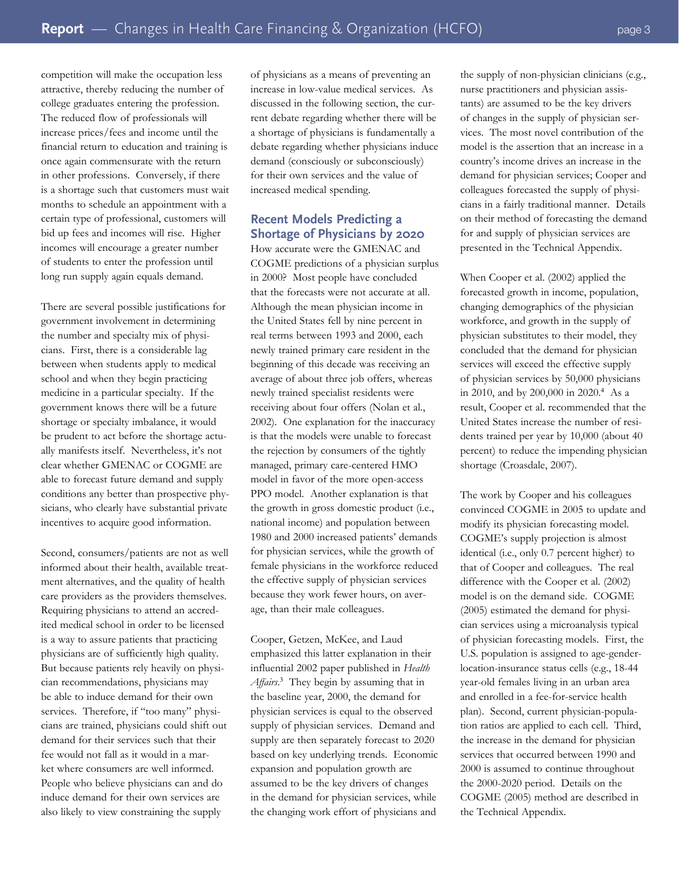competition will make the occupation less attractive, thereby reducing the number of college graduates entering the profession. The reduced flow of professionals will increase prices/fees and income until the financial return to education and training is once again commensurate with the return in other professions. Conversely, if there is a shortage such that customers must wait months to schedule an appointment with a certain type of professional, customers will bid up fees and incomes will rise. Higher incomes will encourage a greater number of students to enter the profession until long run supply again equals demand.

There are several possible justifications for government involvement in determining the number and specialty mix of physicians. First, there is a considerable lag between when students apply to medical school and when they begin practicing medicine in a particular specialty. If the government knows there will be a future shortage or specialty imbalance, it would be prudent to act before the shortage actually manifests itself. Nevertheless, it's not clear whether GMENAC or COGME are able to forecast future demand and supply conditions any better than prospective physicians, who clearly have substantial private incentives to acquire good information.

Second, consumers/patients are not as well informed about their health, available treatment alternatives, and the quality of health care providers as the providers themselves. Requiring physicians to attend an accredited medical school in order to be licensed is a way to assure patients that practicing physicians are of sufficiently high quality. But because patients rely heavily on physician recommendations, physicians may be able to induce demand for their own services. Therefore, if "too many" physicians are trained, physicians could shift out demand for their services such that their fee would not fall as it would in a market where consumers are well informed. People who believe physicians can and do induce demand for their own services are also likely to view constraining the supply

of physicians as a means of preventing an increase in low-value medical services. As discussed in the following section, the current debate regarding whether there will be a shortage of physicians is fundamentally a debate regarding whether physicians induce demand (consciously or subconsciously) for their own services and the value of increased medical spending.

# **Recent Models Predicting a Shortage of Physicians by 2020**

How accurate were the GMENAC and COGME predictions of a physician surplus in 2000? Most people have concluded that the forecasts were not accurate at all. Although the mean physician income in the United States fell by nine percent in real terms between 1993 and 2000, each newly trained primary care resident in the beginning of this decade was receiving an average of about three job offers, whereas newly trained specialist residents were receiving about four offers (Nolan et al., 2002). One explanation for the inaccuracy is that the models were unable to forecast the rejection by consumers of the tightly managed, primary care-centered HMO model in favor of the more open-access PPO model. Another explanation is that the growth in gross domestic product (i.e., national income) and population between 1980 and 2000 increased patients' demands for physician services, while the growth of female physicians in the workforce reduced the effective supply of physician services because they work fewer hours, on average, than their male colleagues.

Cooper, Getzen, McKee, and Laud emphasized this latter explanation in their influential 2002 paper published in *Health*  Affairs.<sup>3</sup> They begin by assuming that in the baseline year, 2000, the demand for physician services is equal to the observed supply of physician services. Demand and supply are then separately forecast to 2020 based on key underlying trends. Economic expansion and population growth are assumed to be the key drivers of changes in the demand for physician services, while the changing work effort of physicians and

the supply of non-physician clinicians (e.g., nurse practitioners and physician assistants) are assumed to be the key drivers of changes in the supply of physician services. The most novel contribution of the model is the assertion that an increase in a country's income drives an increase in the demand for physician services; Cooper and colleagues forecasted the supply of physicians in a fairly traditional manner. Details on their method of forecasting the demand for and supply of physician services are presented in the Technical Appendix.

When Cooper et al. (2002) applied the forecasted growth in income, population, changing demographics of the physician workforce, and growth in the supply of physician substitutes to their model, they concluded that the demand for physician services will exceed the effective supply of physician services by 50,000 physicians in 2010, and by 200,000 in 2020.<sup>4</sup> As a result, Cooper et al. recommended that the United States increase the number of residents trained per year by 10,000 (about 40 percent) to reduce the impending physician shortage (Croasdale, 2007).

The work by Cooper and his colleagues convinced COGME in 2005 to update and modify its physician forecasting model. COGME's supply projection is almost identical (i.e., only 0.7 percent higher) to that of Cooper and colleagues. The real difference with the Cooper et al. (2002) model is on the demand side. COGME (2005) estimated the demand for physician services using a microanalysis typical of physician forecasting models. First, the U.S. population is assigned to age-genderlocation-insurance status cells (e.g., 18-44 year-old females living in an urban area and enrolled in a fee-for-service health plan). Second, current physician-population ratios are applied to each cell. Third, the increase in the demand for physician services that occurred between 1990 and 2000 is assumed to continue throughout the 2000-2020 period. Details on the COGME (2005) method are described in the Technical Appendix.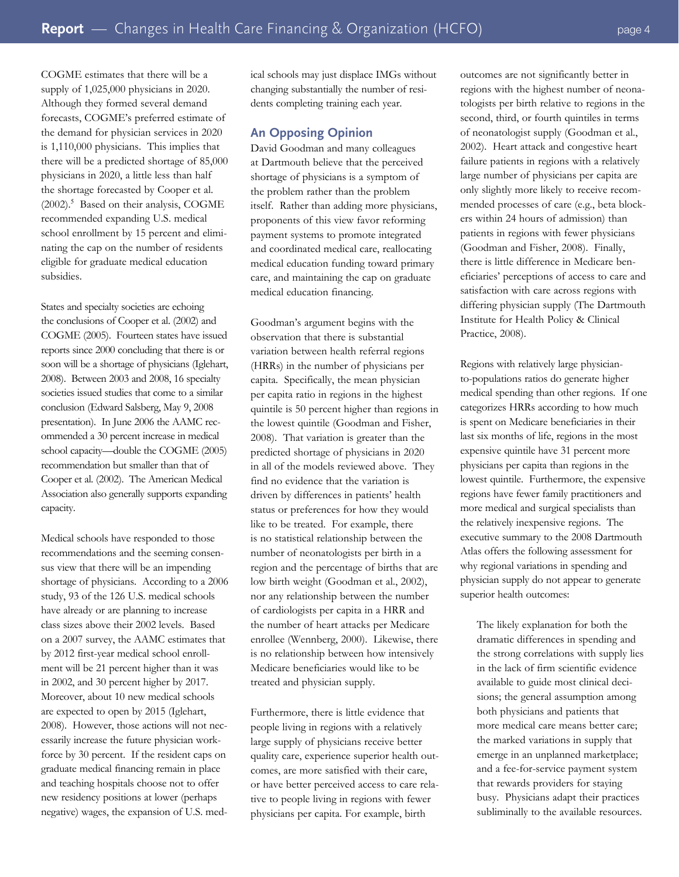COGME estimates that there will be a supply of 1,025,000 physicians in 2020. Although they formed several demand forecasts, COGME's preferred estimate of the demand for physician services in 2020 is 1,110,000 physicians. This implies that there will be a predicted shortage of 85,000 physicians in 2020, a little less than half the shortage forecasted by Cooper et al. (2002).<sup>5</sup> Based on their analysis, COGME recommended expanding U.S. medical school enrollment by 15 percent and eliminating the cap on the number of residents eligible for graduate medical education subsidies.

States and specialty societies are echoing the conclusions of Cooper et al. (2002) and COGME (2005). Fourteen states have issued reports since 2000 concluding that there is or soon will be a shortage of physicians (Iglehart, 2008). Between 2003 and 2008, 16 specialty societies issued studies that come to a similar conclusion (Edward Salsberg, May 9, 2008 presentation). In June 2006 the AAMC recommended a 30 percent increase in medical school capacity—double the COGME (2005) recommendation but smaller than that of Cooper et al. (2002). The American Medical Association also generally supports expanding capacity.

Medical schools have responded to those recommendations and the seeming consensus view that there will be an impending shortage of physicians. According to a 2006 study, 93 of the 126 U.S. medical schools have already or are planning to increase class sizes above their 2002 levels. Based on a 2007 survey, the AAMC estimates that by 2012 first-year medical school enrollment will be 21 percent higher than it was in 2002, and 30 percent higher by 2017. Moreover, about 10 new medical schools are expected to open by 2015 (Iglehart, 2008). However, those actions will not necessarily increase the future physician workforce by 30 percent. If the resident caps on graduate medical financing remain in place and teaching hospitals choose not to offer new residency positions at lower (perhaps negative) wages, the expansion of U.S. medical schools may just displace IMGs without changing substantially the number of residents completing training each year.

#### **An Opposing Opinion**

David Goodman and many colleagues at Dartmouth believe that the perceived shortage of physicians is a symptom of the problem rather than the problem itself. Rather than adding more physicians, proponents of this view favor reforming payment systems to promote integrated and coordinated medical care, reallocating medical education funding toward primary care, and maintaining the cap on graduate medical education financing.

Goodman's argument begins with the observation that there is substantial variation between health referral regions (HRRs) in the number of physicians per capita. Specifically, the mean physician per capita ratio in regions in the highest quintile is 50 percent higher than regions in the lowest quintile (Goodman and Fisher, 2008). That variation is greater than the predicted shortage of physicians in 2020 in all of the models reviewed above. They find no evidence that the variation is driven by differences in patients' health status or preferences for how they would like to be treated. For example, there is no statistical relationship between the number of neonatologists per birth in a region and the percentage of births that are low birth weight (Goodman et al., 2002), nor any relationship between the number of cardiologists per capita in a HRR and the number of heart attacks per Medicare enrollee (Wennberg, 2000). Likewise, there is no relationship between how intensively Medicare beneficiaries would like to be treated and physician supply.

Furthermore, there is little evidence that people living in regions with a relatively large supply of physicians receive better quality care, experience superior health outcomes, are more satisfied with their care, or have better perceived access to care relative to people living in regions with fewer physicians per capita. For example, birth

outcomes are not significantly better in regions with the highest number of neonatologists per birth relative to regions in the second, third, or fourth quintiles in terms of neonatologist supply (Goodman et al., 2002). Heart attack and congestive heart failure patients in regions with a relatively large number of physicians per capita are only slightly more likely to receive recommended processes of care (e.g., beta blockers within 24 hours of admission) than patients in regions with fewer physicians (Goodman and Fisher, 2008). Finally, there is little difference in Medicare beneficiaries' perceptions of access to care and satisfaction with care across regions with differing physician supply (The Dartmouth Institute for Health Policy & Clinical Practice, 2008).

Regions with relatively large physicianto-populations ratios do generate higher medical spending than other regions. If one categorizes HRRs according to how much is spent on Medicare beneficiaries in their last six months of life, regions in the most expensive quintile have 31 percent more physicians per capita than regions in the lowest quintile. Furthermore, the expensive regions have fewer family practitioners and more medical and surgical specialists than the relatively inexpensive regions. The executive summary to the 2008 Dartmouth Atlas offers the following assessment for why regional variations in spending and physician supply do not appear to generate superior health outcomes:

The likely explanation for both the dramatic differences in spending and the strong correlations with supply lies in the lack of firm scientific evidence available to guide most clinical decisions; the general assumption among both physicians and patients that more medical care means better care; the marked variations in supply that emerge in an unplanned marketplace; and a fee-for-service payment system that rewards providers for staying busy. Physicians adapt their practices subliminally to the available resources.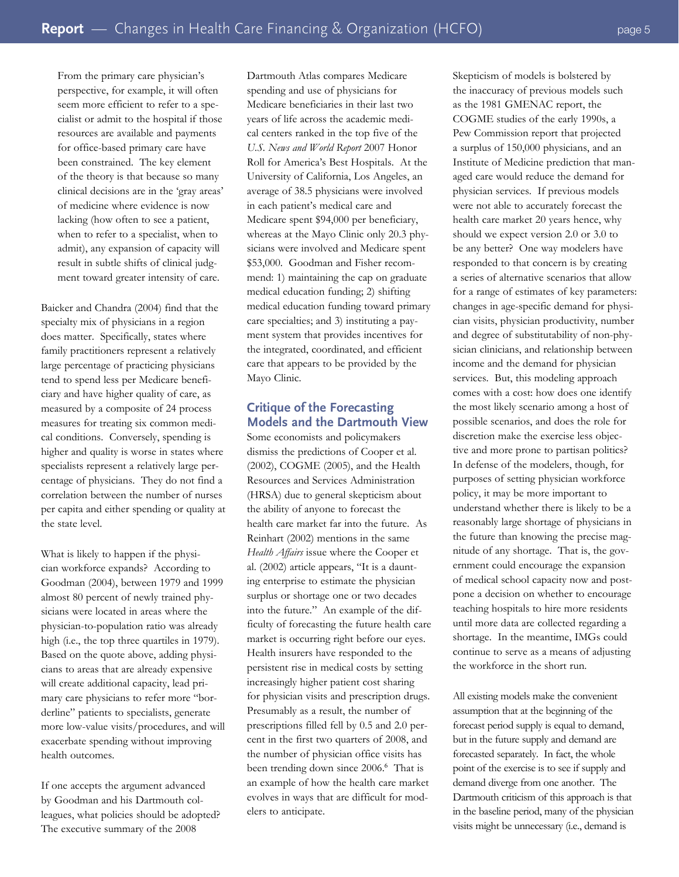From the primary care physician's perspective, for example, it will often seem more efficient to refer to a specialist or admit to the hospital if those resources are available and payments for office-based primary care have been constrained. The key element of the theory is that because so many clinical decisions are in the 'gray areas' of medicine where evidence is now lacking (how often to see a patient, when to refer to a specialist, when to admit), any expansion of capacity will result in subtle shifts of clinical judg-

ment toward greater intensity of care.

Baicker and Chandra (2004) find that the specialty mix of physicians in a region does matter. Specifically, states where family practitioners represent a relatively large percentage of practicing physicians tend to spend less per Medicare beneficiary and have higher quality of care, as measured by a composite of 24 process measures for treating six common medical conditions. Conversely, spending is higher and quality is worse in states where specialists represent a relatively large percentage of physicians. They do not find a correlation between the number of nurses per capita and either spending or quality at the state level.

What is likely to happen if the physician workforce expands? According to Goodman (2004), between 1979 and 1999 almost 80 percent of newly trained physicians were located in areas where the physician-to-population ratio was already high (i.e., the top three quartiles in 1979). Based on the quote above, adding physicians to areas that are already expensive will create additional capacity, lead primary care physicians to refer more "borderline" patients to specialists, generate more low-value visits/procedures, and will exacerbate spending without improving health outcomes.

If one accepts the argument advanced by Goodman and his Dartmouth colleagues, what policies should be adopted? The executive summary of the 2008

Dartmouth Atlas compares Medicare spending and use of physicians for Medicare beneficiaries in their last two years of life across the academic medical centers ranked in the top five of the *U.S. News and World Report* 2007 Honor Roll for America's Best Hospitals. At the University of California, Los Angeles, an average of 38.5 physicians were involved in each patient's medical care and Medicare spent \$94,000 per beneficiary, whereas at the Mayo Clinic only 20.3 physicians were involved and Medicare spent \$53,000. Goodman and Fisher recommend: 1) maintaining the cap on graduate medical education funding; 2) shifting medical education funding toward primary care specialties; and 3) instituting a payment system that provides incentives for the integrated, coordinated, and efficient care that appears to be provided by the Mayo Clinic.

# **Critique of the Forecasting Models and the Dartmouth View**

Some economists and policymakers dismiss the predictions of Cooper et al. (2002), COGME (2005), and the Health Resources and Services Administration (HRSA) due to general skepticism about the ability of anyone to forecast the health care market far into the future. As Reinhart (2002) mentions in the same *Health Affairs* issue where the Cooper et al. (2002) article appears, "It is a daunting enterprise to estimate the physician surplus or shortage one or two decades into the future." An example of the difficulty of forecasting the future health care market is occurring right before our eyes. Health insurers have responded to the persistent rise in medical costs by setting increasingly higher patient cost sharing for physician visits and prescription drugs. Presumably as a result, the number of prescriptions filled fell by 0.5 and 2.0 percent in the first two quarters of 2008, and the number of physician office visits has been trending down since 2006.<sup>6</sup> That is an example of how the health care market evolves in ways that are difficult for modelers to anticipate.

Skepticism of models is bolstered by the inaccuracy of previous models such as the 1981 GMENAC report, the COGME studies of the early 1990s, a Pew Commission report that projected a surplus of 150,000 physicians, and an Institute of Medicine prediction that managed care would reduce the demand for physician services. If previous models were not able to accurately forecast the health care market 20 years hence, why should we expect version 2.0 or 3.0 to be any better? One way modelers have responded to that concern is by creating a series of alternative scenarios that allow for a range of estimates of key parameters: changes in age-specific demand for physician visits, physician productivity, number and degree of substitutability of non-physician clinicians, and relationship between income and the demand for physician services. But, this modeling approach comes with a cost: how does one identify the most likely scenario among a host of possible scenarios, and does the role for discretion make the exercise less objective and more prone to partisan politics? In defense of the modelers, though, for purposes of setting physician workforce policy, it may be more important to understand whether there is likely to be a reasonably large shortage of physicians in the future than knowing the precise magnitude of any shortage. That is, the government could encourage the expansion of medical school capacity now and postpone a decision on whether to encourage teaching hospitals to hire more residents until more data are collected regarding a shortage. In the meantime, IMGs could continue to serve as a means of adjusting the workforce in the short run.

All existing models make the convenient assumption that at the beginning of the forecast period supply is equal to demand, but in the future supply and demand are forecasted separately. In fact, the whole point of the exercise is to see if supply and demand diverge from one another. The Dartmouth criticism of this approach is that in the baseline period, many of the physician visits might be unnecessary (i.e., demand is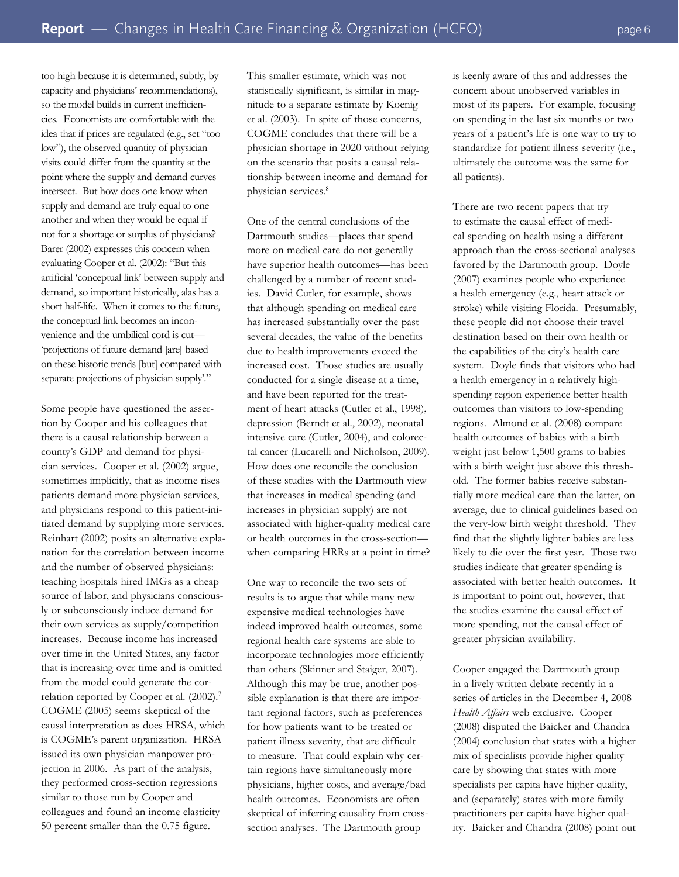too high because it is determined, subtly, by capacity and physicians' recommendations), so the model builds in current inefficiencies. Economists are comfortable with the idea that if prices are regulated (e.g., set "too low"), the observed quantity of physician visits could differ from the quantity at the point where the supply and demand curves intersect. But how does one know when supply and demand are truly equal to one another and when they would be equal if not for a shortage or surplus of physicians? Barer (2002) expresses this concern when evaluating Cooper et al. (2002): "But this artificial 'conceptual link' between supply and demand, so important historically, alas has a short half-life. When it comes to the future, the conceptual link becomes an inconvenience and the umbilical cord is cut— 'projections of future demand [are] based on these historic trends [but] compared with separate projections of physician supply'."

Some people have questioned the assertion by Cooper and his colleagues that there is a causal relationship between a county's GDP and demand for physician services. Cooper et al. (2002) argue, sometimes implicitly, that as income rises patients demand more physician services, and physicians respond to this patient-initiated demand by supplying more services. Reinhart (2002) posits an alternative explanation for the correlation between income and the number of observed physicians: teaching hospitals hired IMGs as a cheap source of labor, and physicians consciously or subconsciously induce demand for their own services as supply/competition increases. Because income has increased over time in the United States, any factor that is increasing over time and is omitted from the model could generate the correlation reported by Cooper et al.  $(2002).<sup>7</sup>$ COGME (2005) seems skeptical of the causal interpretation as does HRSA, which is COGME's parent organization. HRSA issued its own physician manpower projection in 2006. As part of the analysis, they performed cross-section regressions similar to those run by Cooper and colleagues and found an income elasticity 50 percent smaller than the 0.75 figure.

This smaller estimate, which was not statistically significant, is similar in magnitude to a separate estimate by Koenig et al. (2003). In spite of those concerns, COGME concludes that there will be a physician shortage in 2020 without relying on the scenario that posits a causal relationship between income and demand for physician services.<sup>8</sup>

One of the central conclusions of the Dartmouth studies—places that spend more on medical care do not generally have superior health outcomes—has been challenged by a number of recent studies. David Cutler, for example, shows that although spending on medical care has increased substantially over the past several decades, the value of the benefits due to health improvements exceed the increased cost. Those studies are usually conducted for a single disease at a time, and have been reported for the treatment of heart attacks (Cutler et al., 1998), depression (Berndt et al., 2002), neonatal intensive care (Cutler, 2004), and colorectal cancer (Lucarelli and Nicholson, 2009). How does one reconcile the conclusion of these studies with the Dartmouth view that increases in medical spending (and increases in physician supply) are not associated with higher-quality medical care or health outcomes in the cross-section when comparing HRRs at a point in time?

One way to reconcile the two sets of results is to argue that while many new expensive medical technologies have indeed improved health outcomes, some regional health care systems are able to incorporate technologies more efficiently than others (Skinner and Staiger, 2007). Although this may be true, another possible explanation is that there are important regional factors, such as preferences for how patients want to be treated or patient illness severity, that are difficult to measure. That could explain why certain regions have simultaneously more physicians, higher costs, and average/bad health outcomes. Economists are often skeptical of inferring causality from crosssection analyses. The Dartmouth group

is keenly aware of this and addresses the concern about unobserved variables in most of its papers. For example, focusing on spending in the last six months or two years of a patient's life is one way to try to standardize for patient illness severity (i.e., ultimately the outcome was the same for all patients).

There are two recent papers that try to estimate the causal effect of medical spending on health using a different approach than the cross-sectional analyses favored by the Dartmouth group. Doyle (2007) examines people who experience a health emergency (e.g., heart attack or stroke) while visiting Florida. Presumably, these people did not choose their travel destination based on their own health or the capabilities of the city's health care system. Doyle finds that visitors who had a health emergency in a relatively highspending region experience better health outcomes than visitors to low-spending regions. Almond et al. (2008) compare health outcomes of babies with a birth weight just below 1,500 grams to babies with a birth weight just above this threshold. The former babies receive substantially more medical care than the latter, on average, due to clinical guidelines based on the very-low birth weight threshold. They find that the slightly lighter babies are less likely to die over the first year. Those two studies indicate that greater spending is associated with better health outcomes. It is important to point out, however, that the studies examine the causal effect of more spending, not the causal effect of greater physician availability.

Cooper engaged the Dartmouth group in a lively written debate recently in a series of articles in the December 4, 2008 *Health Affairs* web exclusive. Cooper (2008) disputed the Baicker and Chandra (2004) conclusion that states with a higher mix of specialists provide higher quality care by showing that states with more specialists per capita have higher quality, and (separately) states with more family practitioners per capita have higher quality. Baicker and Chandra (2008) point out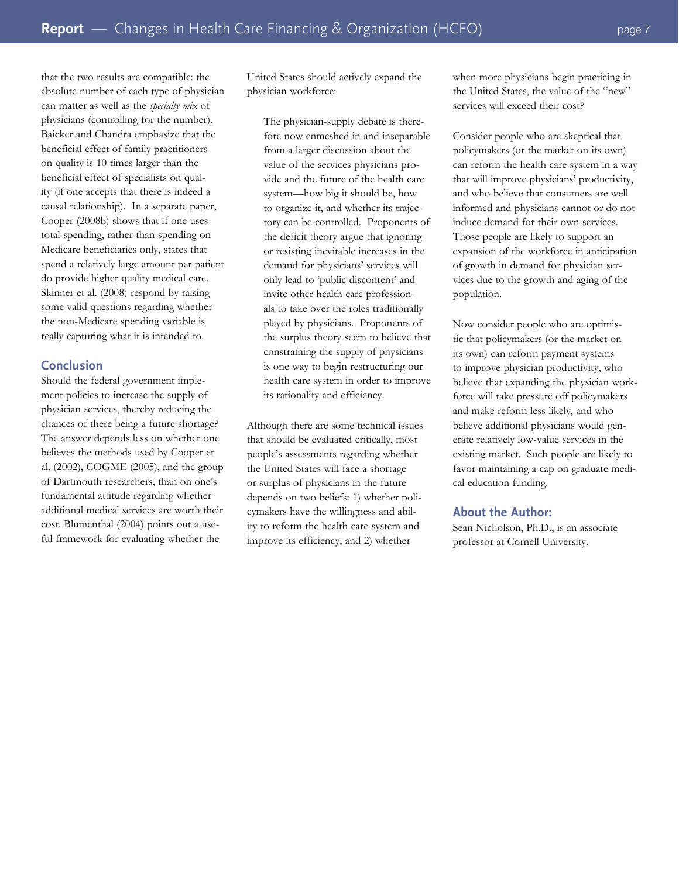that the two results are compatible: the absolute number of each type of physician can matter as well as the *specialty mix* of physicians (controlling for the number). Baicker and Chandra emphasize that the beneficial effect of family practitioners on quality is 10 times larger than the beneficial effect of specialists on quality (if one accepts that there is indeed a causal relationship). In a separate paper, Cooper (2008b) shows that if one uses total spending, rather than spending on Medicare beneficiaries only, states that spend a relatively large amount per patient do provide higher quality medical care. Skinner et al. (2008) respond by raising some valid questions regarding whether the non-Medicare spending variable is really capturing what it is intended to.

## **Conclusion**

Should the federal government implement policies to increase the supply of physician services, thereby reducing the chances of there being a future shortage? The answer depends less on whether one believes the methods used by Cooper et al. (2002), COGME (2005), and the group of Dartmouth researchers, than on one's fundamental attitude regarding whether additional medical services are worth their cost. Blumenthal (2004) points out a useful framework for evaluating whether the

United States should actively expand the physician workforce:

The physician-supply debate is therefore now enmeshed in and inseparable from a larger discussion about the value of the services physicians provide and the future of the health care system—how big it should be, how to organize it, and whether its trajectory can be controlled. Proponents of the deficit theory argue that ignoring or resisting inevitable increases in the demand for physicians' services will only lead to 'public discontent' and invite other health care professionals to take over the roles traditionally played by physicians. Proponents of the surplus theory seem to believe that constraining the supply of physicians is one way to begin restructuring our health care system in order to improve its rationality and efficiency.

Although there are some technical issues that should be evaluated critically, most people's assessments regarding whether the United States will face a shortage or surplus of physicians in the future depends on two beliefs: 1) whether policymakers have the willingness and ability to reform the health care system and improve its efficiency; and 2) whether

when more physicians begin practicing in the United States, the value of the "new" services will exceed their cost?

Consider people who are skeptical that policymakers (or the market on its own) can reform the health care system in a way that will improve physicians' productivity, and who believe that consumers are well informed and physicians cannot or do not induce demand for their own services. Those people are likely to support an expansion of the workforce in anticipation of growth in demand for physician services due to the growth and aging of the population.

Now consider people who are optimistic that policymakers (or the market on its own) can reform payment systems to improve physician productivity, who believe that expanding the physician workforce will take pressure off policymakers and make reform less likely, and who believe additional physicians would generate relatively low-value services in the existing market. Such people are likely to favor maintaining a cap on graduate medical education funding.

#### **About the Author:**

Sean Nicholson, Ph.D., is an associate professor at Cornell University.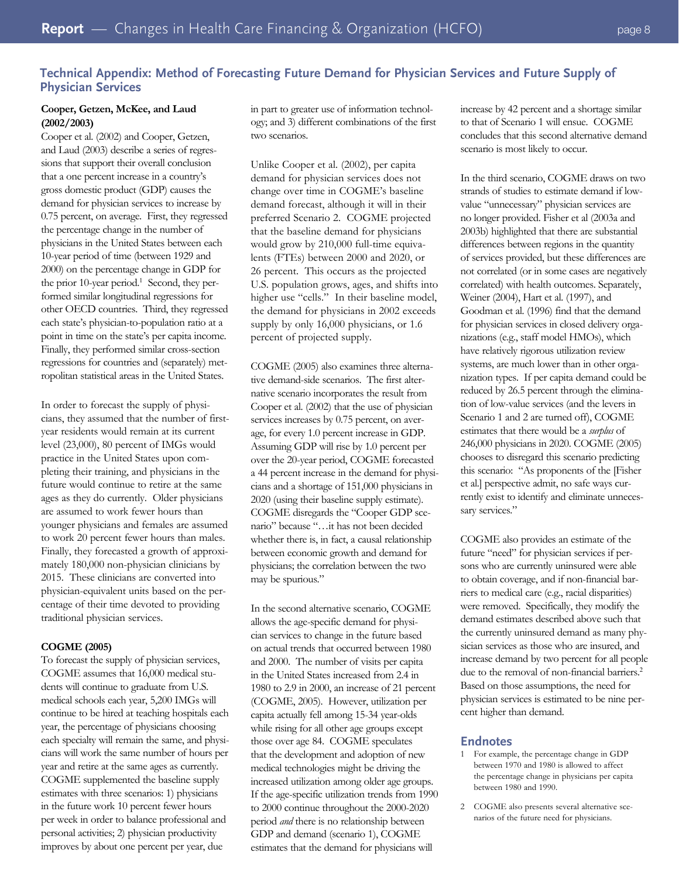# **Technical Appendix: Method of Forecasting Future Demand for Physician Services and Future Supply of Physician Services**

## **Cooper, Getzen, McKee, and Laud (2002/2003)**

Cooper et al. (2002) and Cooper, Getzen, and Laud (2003) describe a series of regressions that support their overall conclusion that a one percent increase in a country's gross domestic product (GDP) causes the demand for physician services to increase by 0.75 percent, on average. First, they regressed the percentage change in the number of physicians in the United States between each 10-year period of time (between 1929 and 2000) on the percentage change in GDP for the prior 10-year period.<sup>1</sup> Second, they performed similar longitudinal regressions for other OECD countries. Third, they regressed each state's physician-to-population ratio at a point in time on the state's per capita income. Finally, they performed similar cross-section regressions for countries and (separately) metropolitan statistical areas in the United States.

In order to forecast the supply of physicians, they assumed that the number of firstyear residents would remain at its current level (23,000), 80 percent of IMGs would practice in the United States upon completing their training, and physicians in the future would continue to retire at the same ages as they do currently. Older physicians are assumed to work fewer hours than younger physicians and females are assumed to work 20 percent fewer hours than males. Finally, they forecasted a growth of approximately 180,000 non-physician clinicians by 2015. These clinicians are converted into physician-equivalent units based on the percentage of their time devoted to providing traditional physician services.

#### **COGME (2005)**

To forecast the supply of physician services, COGME assumes that 16,000 medical students will continue to graduate from U.S. medical schools each year, 5,200 IMGs will continue to be hired at teaching hospitals each year, the percentage of physicians choosing each specialty will remain the same, and physicians will work the same number of hours per year and retire at the same ages as currently. COGME supplemented the baseline supply estimates with three scenarios: 1) physicians in the future work 10 percent fewer hours per week in order to balance professional and personal activities; 2) physician productivity improves by about one percent per year, due

in part to greater use of information technology; and 3) different combinations of the first two scenarios.

Unlike Cooper et al. (2002), per capita demand for physician services does not change over time in COGME's baseline demand forecast, although it will in their preferred Scenario 2. COGME projected that the baseline demand for physicians would grow by 210,000 full-time equivalents (FTEs) between 2000 and 2020, or 26 percent. This occurs as the projected U.S. population grows, ages, and shifts into higher use "cells." In their baseline model, the demand for physicians in 2002 exceeds supply by only 16,000 physicians, or 1.6 percent of projected supply.

COGME (2005) also examines three alternative demand-side scenarios. The first alternative scenario incorporates the result from Cooper et al. (2002) that the use of physician services increases by 0.75 percent, on average, for every 1.0 percent increase in GDP. Assuming GDP will rise by 1.0 percent per over the 20-year period, COGME forecasted a 44 percent increase in the demand for physicians and a shortage of 151,000 physicians in 2020 (using their baseline supply estimate). COGME disregards the "Cooper GDP scenario" because "…it has not been decided whether there is, in fact, a causal relationship between economic growth and demand for physicians; the correlation between the two may be spurious."

In the second alternative scenario, COGME allows the age-specific demand for physician services to change in the future based on actual trends that occurred between 1980 and 2000. The number of visits per capita in the United States increased from 2.4 in 1980 to 2.9 in 2000, an increase of 21 percent (COGME, 2005). However, utilization per capita actually fell among 15-34 year-olds while rising for all other age groups except those over age 84. COGME speculates that the development and adoption of new medical technologies might be driving the increased utilization among older age groups. If the age-specific utilization trends from 1990 to 2000 continue throughout the 2000-2020 period *and* there is no relationship between GDP and demand (scenario 1), COGME estimates that the demand for physicians will

increase by 42 percent and a shortage similar to that of Scenario 1 will ensue. COGME concludes that this second alternative demand scenario is most likely to occur.

In the third scenario, COGME draws on two strands of studies to estimate demand if lowvalue "unnecessary" physician services are no longer provided. Fisher et al (2003a and 2003b) highlighted that there are substantial differences between regions in the quantity of services provided, but these differences are not correlated (or in some cases are negatively correlated) with health outcomes. Separately, Weiner (2004), Hart et al. (1997), and Goodman et al. (1996) find that the demand for physician services in closed delivery organizations (e.g., staff model HMOs), which have relatively rigorous utilization review systems, are much lower than in other organization types. If per capita demand could be reduced by 26.5 percent through the elimination of low-value services (and the levers in Scenario 1 and 2 are turned off), COGME estimates that there would be a *surplus* of 246,000 physicians in 2020. COGME (2005) chooses to disregard this scenario predicting this scenario: "As proponents of the [Fisher et al.] perspective admit, no safe ways currently exist to identify and eliminate unnecessary services."

COGME also provides an estimate of the future "need" for physician services if persons who are currently uninsured were able to obtain coverage, and if non-financial barriers to medical care (e.g., racial disparities) were removed. Specifically, they modify the demand estimates described above such that the currently uninsured demand as many physician services as those who are insured, and increase demand by two percent for all people due to the removal of non-financial barriers.<sup>2</sup> Based on those assumptions, the need for physician services is estimated to be nine percent higher than demand.

## **Endnotes**

- 1 For example, the percentage change in GDP between 1970 and 1980 is allowed to affect the percentage change in physicians per capita between 1980 and 1990.
- 2 COGME also presents several alternative scenarios of the future need for physicians.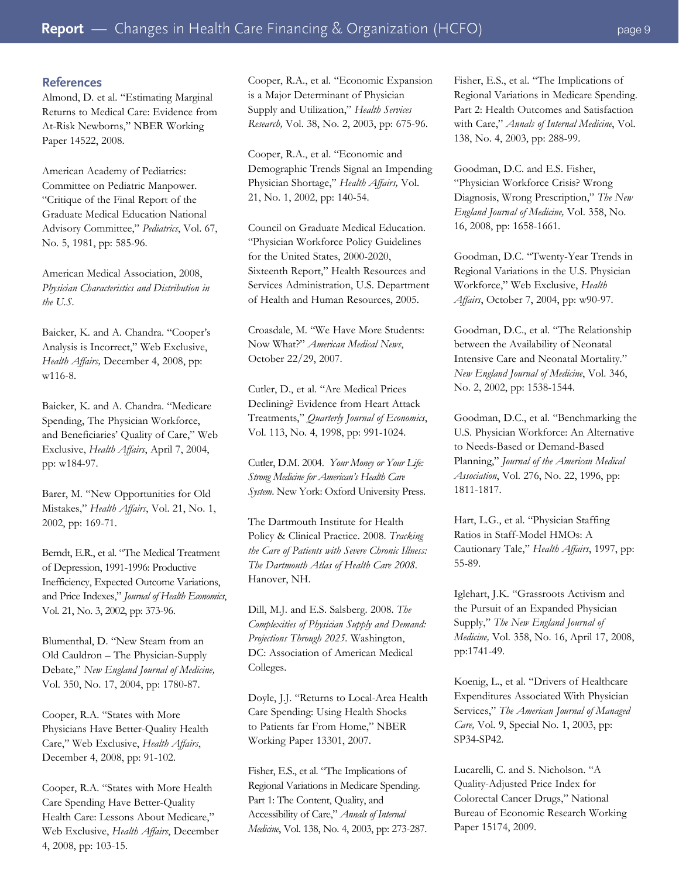## **References**

Almond, D. et al. "Estimating Marginal Returns to Medical Care: Evidence from At-Risk Newborns," NBER Working Paper 14522, 2008.

American Academy of Pediatrics: Committee on Pediatric Manpower. "Critique of the Final Report of the Graduate Medical Education National Advisory Committee," *Pediatrics*, Vol. 67, No. 5, 1981, pp: 585-96.

American Medical Association, 2008, *Physician Characteristics and Distribution in the U.S*.

Baicker, K. and A. Chandra. "Cooper's Analysis is Incorrect," Web Exclusive, *Health Affairs,* December 4, 2008, pp: w116-8.

Baicker, K. and A. Chandra. "Medicare Spending, The Physician Workforce, and Beneficiaries' Quality of Care," Web Exclusive, *Health Affairs*, April 7, 2004, pp: w184-97.

Barer, M. "New Opportunities for Old Mistakes," *Health Affairs*, Vol. 21, No. 1, 2002, pp: 169-71.

Berndt, E.R., et al. "The Medical Treatment of Depression, 1991-1996: Productive Inefficiency, Expected Outcome Variations, and Price Indexes," *Journal of Health Economics*, Vol. 21, No. 3, 2002, pp: 373-96.

Blumenthal, D. "New Steam from an Old Cauldron – The Physician-Supply Debate," *New England Journal of Medicine,* Vol. 350, No. 17, 2004, pp: 1780-87.

Cooper, R.A. "States with More Physicians Have Better-Quality Health Care," Web Exclusive, *Health Affairs*, December 4, 2008, pp: 91-102.

Cooper, R.A. "States with More Health Care Spending Have Better-Quality Health Care: Lessons About Medicare," Web Exclusive, *Health Affairs*, December 4, 2008, pp: 103-15.

Cooper, R.A., et al. "Economic Expansion is a Major Determinant of Physician Supply and Utilization," *Health Services Research,* Vol. 38, No. 2, 2003, pp: 675-96.

Cooper, R.A., et al. "Economic and Demographic Trends Signal an Impending Physician Shortage," *Health Affairs,* Vol. 21, No. 1, 2002, pp: 140-54.

Council on Graduate Medical Education. "Physician Workforce Policy Guidelines for the United States, 2000-2020, Sixteenth Report," Health Resources and Services Administration, U.S. Department of Health and Human Resources, 2005.

Croasdale, M. "We Have More Students: Now What?" *American Medical News*, October 22/29, 2007.

Cutler, D., et al. "Are Medical Prices Declining? Evidence from Heart Attack Treatments," *Quarterly Journal of Economics*, Vol. 113, No. 4, 1998, pp: 991-1024.

Cutler, D.M. 2004. *Your Money or Your Life: Strong Medicine for American's Health Care System*. New York: Oxford University Press.

The Dartmouth Institute for Health Policy & Clinical Practice. 2008. *Tracking the Care of Patients with Severe Chronic Illness: The Dartmouth Atlas of Health Care 2008*. Hanover, NH.

Dill, M.J. and E.S. Salsberg. 2008. *The Complexities of Physician Supply and Demand: Projections Through 2025.* Washington, DC: Association of American Medical Colleges.

Doyle, J.J. "Returns to Local-Area Health Care Spending: Using Health Shocks to Patients far From Home," NBER Working Paper 13301, 2007.

Fisher, E.S., et al. "The Implications of Regional Variations in Medicare Spending. Part 1: The Content, Quality, and Accessibility of Care," *Annals of Internal Medicine*, Vol. 138, No. 4, 2003, pp: 273-287.

Fisher, E.S., et al. "The Implications of Regional Variations in Medicare Spending. Part 2: Health Outcomes and Satisfaction with Care," *Annals of Internal Medicine*, Vol. 138, No. 4, 2003, pp: 288-99.

Goodman, D.C. and E.S. Fisher, "Physician Workforce Crisis? Wrong Diagnosis, Wrong Prescription," *The New England Journal of Medicine,* Vol. 358, No. 16, 2008, pp: 1658-1661.

Goodman, D.C. "Twenty-Year Trends in Regional Variations in the U.S. Physician Workforce," Web Exclusive, *Health Affairs*, October 7, 2004, pp: w90-97.

Goodman, D.C., et al. "The Relationship between the Availability of Neonatal Intensive Care and Neonatal Mortality." *New England Journal of Medicine*, Vol. 346, No. 2, 2002, pp: 1538-1544.

Goodman, D.C., et al. "Benchmarking the U.S. Physician Workforce: An Alternative to Needs-Based or Demand-Based Planning," *Journal of the American Medical Association*, Vol. 276, No. 22, 1996, pp: 1811-1817.

Hart, L.G., et al. "Physician Staffing Ratios in Staff-Model HMOs: A Cautionary Tale," *Health Affairs*, 1997, pp: 55-89.

Iglehart, J.K. "Grassroots Activism and the Pursuit of an Expanded Physician Supply," *The New England Journal of Medicine,* Vol. 358, No. 16, April 17, 2008, pp:1741-49.

Koenig, L., et al. "Drivers of Healthcare Expenditures Associated With Physician Services," *The American Journal of Managed Care,* Vol. 9, Special No. 1, 2003, pp: SP34-SP42.

Lucarelli, C. and S. Nicholson. "A Quality-Adjusted Price Index for Colorectal Cancer Drugs," National Bureau of Economic Research Working Paper 15174, 2009.